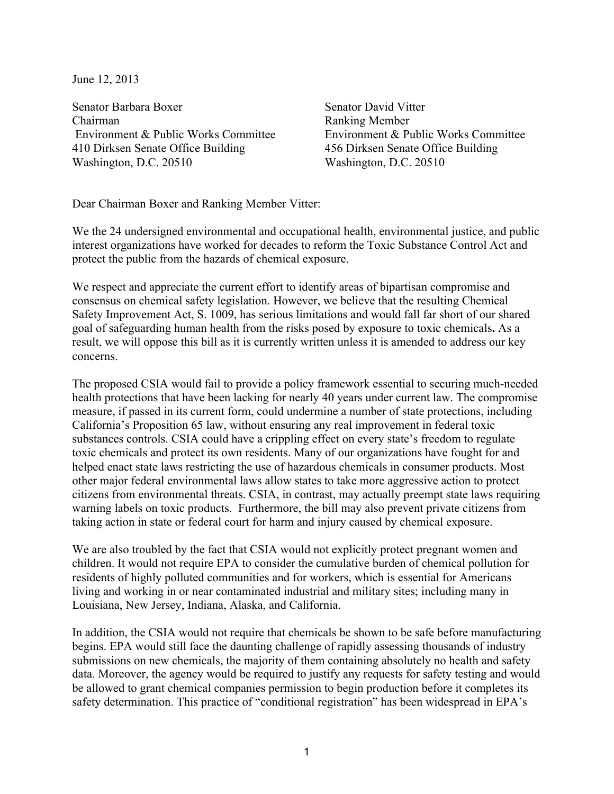June 12, 2013

Senator Barbara Boxer Senator David Vitter Chairman Ranking Member Environment & Public Works Committee Environment & Public Works Committee 410 Dirksen Senate Office Building 456 Dirksen Senate Office Building Washington, D.C. 20510 Washington, D.C. 20510

Dear Chairman Boxer and Ranking Member Vitter:

We the 24 undersigned environmental and occupational health, environmental justice, and public interest organizations have worked for decades to reform the Toxic Substance Control Act and protect the public from the hazards of chemical exposure.

We respect and appreciate the current effort to identify areas of bipartisan compromise and consensus on chemical safety legislation. However, we believe that the resulting Chemical Safety Improvement Act, S. 1009, has serious limitations and would fall far short of our shared goal of safeguarding human health from the risks posed by exposure to toxic chemicals**.** As a result, we will oppose this bill as it is currently written unless it is amended to address our key concerns.

The proposed CSIA would fail to provide a policy framework essential to securing much-needed health protections that have been lacking for nearly 40 years under current law. The compromise measure, if passed in its current form, could undermine a number of state protections, including California's Proposition 65 law, without ensuring any real improvement in federal toxic substances controls. CSIA could have a crippling effect on every state's freedom to regulate toxic chemicals and protect its own residents. Many of our organizations have fought for and helped enact state laws restricting the use of hazardous chemicals in consumer products. Most other major federal environmental laws allow states to take more aggressive action to protect citizens from environmental threats. CSIA, in contrast, may actually preempt state laws requiring warning labels on toxic products. Furthermore, the bill may also prevent private citizens from taking action in state or federal court for harm and injury caused by chemical exposure.

We are also troubled by the fact that CSIA would not explicitly protect pregnant women and children. It would not require EPA to consider the cumulative burden of chemical pollution for residents of highly polluted communities and for workers, which is essential for Americans living and working in or near contaminated industrial and military sites; including many in Louisiana, New Jersey, Indiana, Alaska, and California.

In addition, the CSIA would not require that chemicals be shown to be safe before manufacturing begins. EPA would still face the daunting challenge of rapidly assessing thousands of industry submissions on new chemicals, the majority of them containing absolutely no health and safety data. Moreover, the agency would be required to justify any requests for safety testing and would be allowed to grant chemical companies permission to begin production before it completes its safety determination. This practice of "conditional registration" has been widespread in EPA's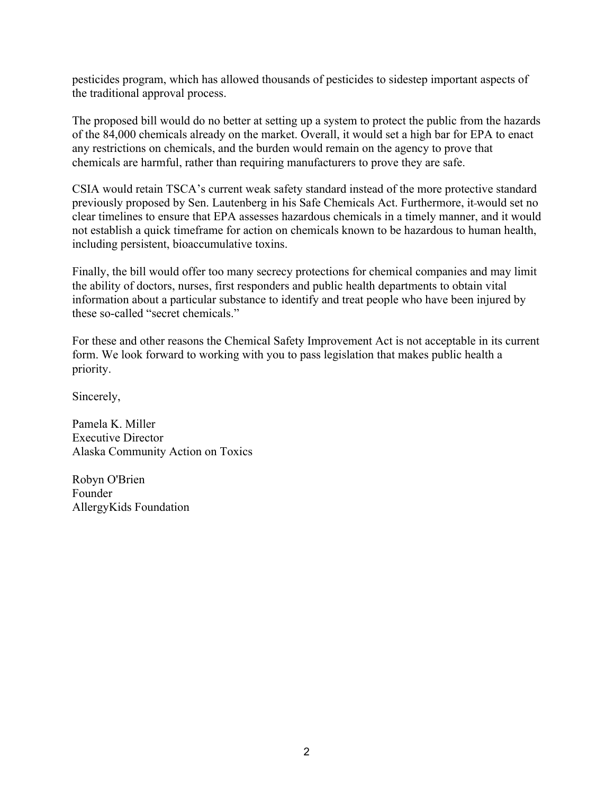pesticides program, which has allowed thousands of pesticides to sidestep important aspects of the traditional approval process.

The proposed bill would do no better at setting up a system to protect the public from the hazards of the 84,000 chemicals already on the market. Overall, it would set a high bar for EPA to enact any restrictions on chemicals, and the burden would remain on the agency to prove that chemicals are harmful, rather than requiring manufacturers to prove they are safe.

CSIA would retain TSCA's current weak safety standard instead of the more protective standard previously proposed by Sen. Lautenberg in his Safe Chemicals Act. Furthermore, it would set no clear timelines to ensure that EPA assesses hazardous chemicals in a timely manner, and it would not establish a quick timeframe for action on chemicals known to be hazardous to human health, including persistent, bioaccumulative toxins.

Finally, the bill would offer too many secrecy protections for chemical companies and may limit the ability of doctors, nurses, first responders and public health departments to obtain vital information about a particular substance to identify and treat people who have been injured by these so-called "secret chemicals."

For these and other reasons the Chemical Safety Improvement Act is not acceptable in its current form. We look forward to working with you to pass legislation that makes public health a priority.

Sincerely,

Pamela K. Miller Executive Director Alaska Community Action on Toxics

Robyn O'Brien Founder AllergyKids Foundation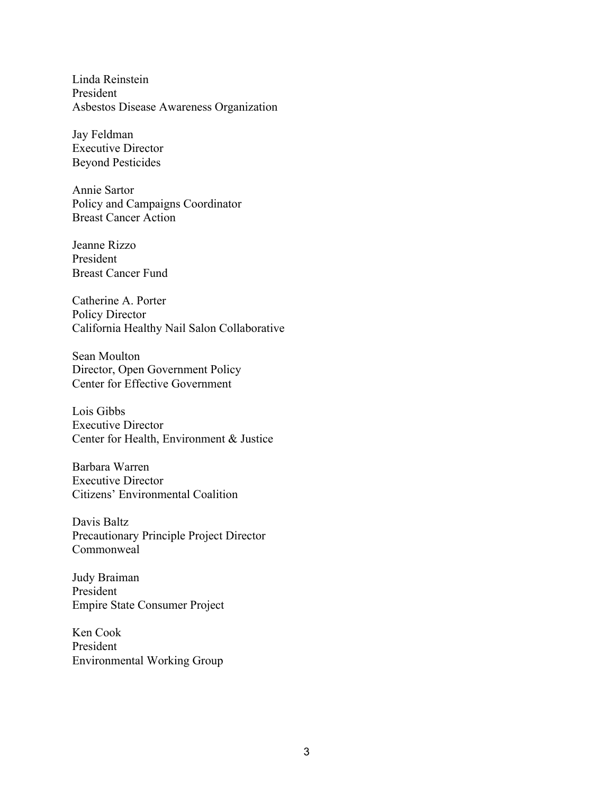Linda Reinstein President Asbestos Disease Awareness Organization

Jay Feldman Executive Director Beyond Pesticides

Annie Sartor Policy and Campaigns Coordinator Breast Cancer Action

Jeanne Rizzo President Breast Cancer Fund

Catherine A. Porter Policy Director California Healthy Nail Salon Collaborative

Sean Moulton Director, Open Government Policy Center for Effective Government

Lois Gibbs Executive Director Center for Health, Environment & Justice

Barbara Warren Executive Director Citizens' Environmental Coalition

Davis Baltz Precautionary Principle Project Director Commonweal

Judy Braiman President Empire State Consumer Project

Ken Cook President Environmental Working Group